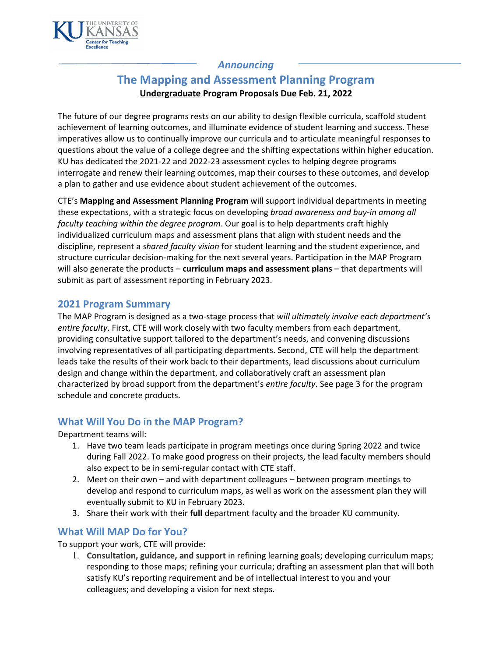

#### *Announcing*

# **The Mapping and Assessment Planning Program Undergraduate Program Proposals Due Feb. 21, 2022**

The future of our degree programs rests on our ability to design flexible curricula, scaffold student achievement of learning outcomes, and illuminate evidence of student learning and success. These imperatives allow us to continually improve our curricula and to articulate meaningful responses to questions about the value of a college degree and the shifting expectations within higher education. KU has dedicated the 2021-22 and 2022-23 assessment cycles to helping degree programs interrogate and renew their learning outcomes, map their courses to these outcomes, and develop a plan to gather and use evidence about student achievement of the outcomes.

CTE's **Mapping and Assessment Planning Program** will support individual departments in meeting these expectations, with a strategic focus on developing *broad awareness and buy-in among all faculty teaching within the degree program*. Our goal is to help departments craft highly individualized curriculum maps and assessment plans that align with student needs and the discipline, represent a *shared faculty vision* for student learning and the student experience, and structure curricular decision-making for the next several years. Participation in the MAP Program will also generate the products – **curriculum maps and assessment plans** – that departments will submit as part of assessment reporting in February 2023.

#### **2021 Program Summary**

The MAP Program is designed as a two-stage process that *will ultimately involve each department's entire faculty*. First, CTE will work closely with two faculty members from each department, providing consultative support tailored to the department's needs, and convening discussions involving representatives of all participating departments. Second, CTE will help the department leads take the results of their work back to their departments, lead discussions about curriculum design and change within the department, and collaboratively craft an assessment plan characterized by broad support from the department's *entire faculty*. See page 3 for the program schedule and concrete products.

## **What Will You Do in the MAP Program?**

#### Department teams will:

- 1. Have two team leads participate in program meetings once during Spring 2022 and twice during Fall 2022. To make good progress on their projects, the lead faculty members should also expect to be in semi-regular contact with CTE staff.
- 2. Meet on their own and with department colleagues between program meetings to develop and respond to curriculum maps, as well as work on the assessment plan they will eventually submit to KU in February 2023.
- 3. Share their work with their **full** department faculty and the broader KU community.

## **What Will MAP Do for You?**

To support your work, CTE will provide:

1. **Consultation, guidance, and support** in refining learning goals; developing curriculum maps; responding to those maps; refining your curricula; drafting an assessment plan that will both satisfy KU's reporting requirement and be of intellectual interest to you and your colleagues; and developing a vision for next steps.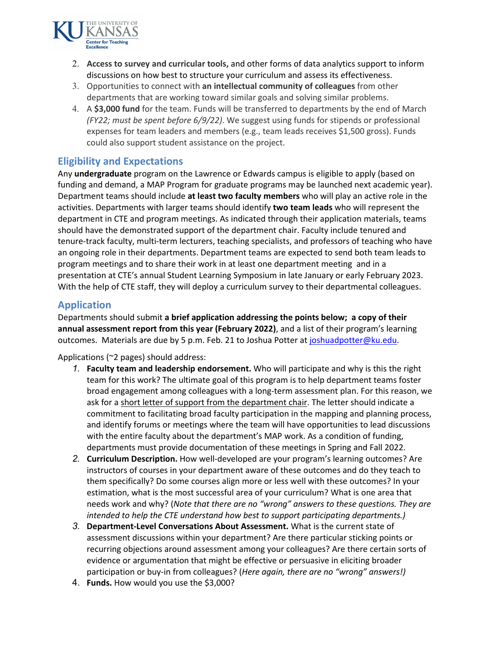

- 2. **Access to survey and curricular tools,** and other forms of data analytics support to inform discussions on how best to structure your curriculum and assess its effectiveness.
- 3. Opportunities to connect with **an intellectual community of colleagues** from other departments that are working toward similar goals and solving similar problems.
- 4. A **\$3,000 fund** for the team. Funds will be transferred to departments by the end of March *(FY22; must be spent before 6/9/22)*. We suggest using funds for stipends or professional expenses for team leaders and members (e.g., team leads receives \$1,500 gross). Funds could also support student assistance on the project.

## **Eligibility and Expectations**

Any **undergraduate** program on the Lawrence or Edwards campus is eligible to apply (based on funding and demand, a MAP Program for graduate programs may be launched next academic year). Department teams should include **at least two faculty members** who will play an active role in the activities. Departments with larger teams should identify **two team leads** who will represent the department in CTE and program meetings. As indicated through their application materials, teams should have the demonstrated support of the department chair. Faculty include tenured and tenure-track faculty, multi-term lecturers, teaching specialists, and professors of teaching who have an ongoing role in their departments. Department teams are expected to send both team leads to program meetings and to share their work in at least one department meeting and in a presentation at CTE's annual Student Learning Symposium in late January or early February 2023. With the help of CTE staff, they will deploy a curriculum survey to their departmental colleagues.

## **Application**

Departments should submit **a brief application addressing the points below; a copy of their annual assessment report from this year (February 2022)**, and a list of their program's learning outcomes. Materials are due by 5 p.m. Feb. 21 to Joshua Potter at [joshuadpotter@ku.edu.](mailto:joshuadpotter@ku.edu)

#### Applications (~2 pages) should address:

- *1.* **Faculty team and leadership endorsement.** Who will participate and why is this the right team for this work? The ultimate goal of this program is to help department teams foster broad engagement among colleagues with a long-term assessment plan. For this reason, we ask for a short letter of support from the department chair. The letter should indicate a commitment to facilitating broad faculty participation in the mapping and planning process, and identify forums or meetings where the team will have opportunities to lead discussions with the entire faculty about the department's MAP work. As a condition of funding, departments must provide documentation of these meetings in Spring and Fall 2022.
- *2.* **Curriculum Description.** How well-developed are your program's learning outcomes? Are instructors of courses in your department aware of these outcomes and do they teach to them specifically? Do some courses align more or less well with these outcomes? In your estimation, what is the most successful area of your curriculum? What is one area that needs work and why? (*Note that there are no "wrong" answers to these questions. They are intended to help the CTE understand how best to support participating departments.)*
- *3.* **Department-Level Conversations About Assessment.** What is the current state of assessment discussions within your department? Are there particular sticking points or recurring objections around assessment among your colleagues? Are there certain sorts of evidence or argumentation that might be effective or persuasive in eliciting broader participation or buy-in from colleagues? (*Here again, there are no "wrong" answers!)*
- 4. **Funds.** How would you use the \$3,000?